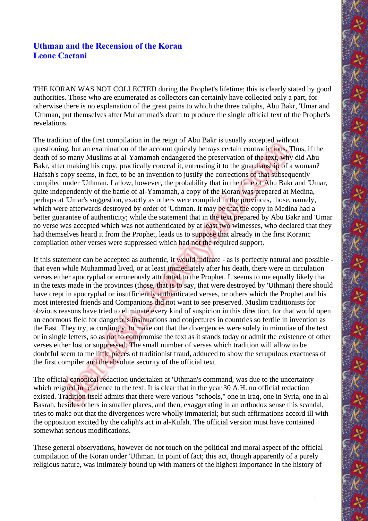## **Uthman and the Recension of the Koran Leone Caetani**

THE KORAN WAS NOT COLLECTED during the Prophet's lifetime; this is clearly stated by good authorities. Those who are enumerated as collectors can certainly have collected only a part, for otherwise there is no explanation of the great pains to which the three caliphs, Abu Bakr, 'Umar and 'Uthman, put themselves after Muhammad's death to produce the single official text of the Prophet's revelations.

The tradition of the first compilation in the reign of Abu Bakr is usually accepted without questioning, but an examination of the account quickly betrays certain contradictions. Thus, if the death of so many Muslims at al-Yamamah endangered the preservation of the text, why did Abu Bakr, after making his copy, practically conceal it, entrusting it to the guardianship of a woman? Hafsah's copy seems, in fact, to be an invention to justify the corrections of that subsequently compiled under 'Uthman. I allow, however, the probability that in the time of Abu Bakr and 'Umar, quite independently of the battle of al-Yamamah, a copy of the Koran was prepared at Medina, perhaps at 'Umar's suggestion, exactly as others were compiled in the provinces, those, namely, which were afterwards destroyed by order of 'Uthman. It may be that the copy in Medina had a better guarantee of authenticity; while the statement that in the text prepared by Abu Bakr and 'Umar no verse was accepted which was not authenticated by at least two witnesses, who declared that they had themselves heard it from the Prophet, leads us to suppose that already in the first Koranic compilation other verses were suppressed which had not the required support.

If this statement can be accepted as authentic, it would indicate - as is perfectly natural and possible that even while Muhammad lived, or at least immediately after his death, there were in circulation verses either apocryphal or erroneously attributed to the Prophet. It seems to me equally likely that in the texts made in the provinces (those, that is to say, that were destroyed by 'Uthman) there should have crept in apocryphal or insufficiently authenticated verses, or others which the Prophet and his most interested friends and Companions did not want to see preserved. Muslim traditionists for obvious reasons have tried to eliminate every kind of suspicion in this direction, for that would open an enormous field for dangerous insinuations and conjectures in countries so fertile in invention as the East. They try, accordingly, to make out that the divergences were solely in minutiae of the text or in single letters, so as not to compromise the text as it stands today or admit the existence of other verses either lost or suppressed. The small number of verses which tradition will allow to be doubtful seem to me little pieces of traditionist fraud, adduced to show the scrupulous exactness of the first compiler and the absolute security of the official text.

The official canonical redaction undertaken at 'Uthman's command, was due to the uncertainty which reigned in reference to the text. It is clear that in the year 30 A.H. no official redaction existed. Tradition itself admits that there were various "schools," one in Iraq, one in Syria, one in al-Basrah, besides others in smaller places, and then, exaggerating in an orthodox sense this scandal, tries to make out that the divergences were wholly immaterial; but such affirmations accord ill with the opposition excited by the caliph's act in al-Kufah. The official version must have contained somewhat serious modifications.

These general observations, however do not touch on the political and moral aspect of the official compilation of the Koran under 'Uthman. In point of fact; this act, though apparently of a purely religious nature, was intimately bound up with matters of the highest importance in the history of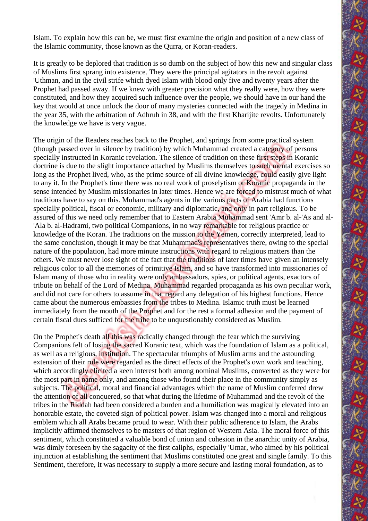Islam. To explain how this can be, we must first examine the origin and position of a new class of the Islamic community, those known as the Qurra, or Koran-readers.

It is greatly to be deplored that tradition is so dumb on the subject of how this new and singular class of Muslims first sprang into existence. They were the principal agitators in the revolt against 'Uthman, and in the civil strife which dyed Islam with blood only five and twenty years after the Prophet had passed away. If we knew with greater precision what they really were, how they were constituted, and how they acquired such influence over the people, we should have in our hand the key that would at once unlock the door of many mysteries connected with the tragedy in Medina in the year 35, with the arbitration of Adhruh in 38, and with the first Kharijite revolts. Unfortunately the knowledge we have is very vague.

The origin of the Readers reaches back to the Prophet, and springs from some practical system (though passed over in silence by tradition) by which Muhammad created a category of persons specially instructed in Koranic revelation. The silence of tradition on these first steps in Koranic doctrine is due to the slight importance attached by Muslims themselves to such mental exercises so long as the Prophet lived, who, as the prime source of all divine knowledge, could easily give light to any it. In the Prophet's time there was no real work of proselytism or Koranic propaganda in the sense intended by Muslim missionaries in later times. Hence we are forced to mistrust much of what traditions have to say on this. Muhammad's agents in the various parts of Arabia had functions specially political, fiscal or economic, military and diplomatic, and only in part religious. To be assured of this we need only remember that to Eastern Arabia Muhammad sent 'Amr b. al-'As and al- 'Ala b. al-Hadrami, two political Companions, in no way remarkable for religious practice or knowledge of the Koran. The traditions on the mission to the Yemen, correctly interpreted, lead to the same conclusion, though it may be that Muhammad's representatives there, owing to the special nature of the population, had more minute instructions with regard to religious matters than the others. We must never lose sight of the fact that the traditions of later times have given an intensely religious color to all the memories of primitive Islam, and so have transformed into missionaries of Islam many of those who in reality were only ambassadors, spies, or political agents, exactors of tribute on behalf of the Lord of Medina. Muhammad regarded propaganda as his own peculiar work, and did not care for others to assume in that regard any delegation of his highest functions. Hence came about the numerous embassies from the tribes to Medina. Islamic truth must be learned immediately from the mouth of the Prophet and for the rest a formal adhesion and the payment of certain fiscal dues sufficed for the tribe to be unquestionably considered as Muslim.

On the Prophet's death all this was radically changed through the fear which the surviving Companions felt of losing the sacred Koranic text, which was the foundation of Islam as a political, as well as a religious, institution. The spectacular triumphs of Muslim arms and the astounding extension of their rule were regarded as the direct effects of the Prophet's own work and teaching, which accordingly elicited a keen interest both among nominal Muslims, converted as they were for the most part in name only, and among those who found their place in the community simply as subjects. The political, moral and financial advantages which the name of Muslim conferred drew the attention of all conquered, so that what during the lifetime of Muhammad and the revolt of the tribes in the Riddah had been considered a burden and a humiliation was magically elevated into an honorable estate, the coveted sign of political power. Islam was changed into a moral and religious emblem which all Arabs became proud to wear. With their public adherence to Islam, the Arabs implicitly affirmed themselves to be masters of that region of Western Asia. The moral force of this sentiment, which constituted a valuable bond of union and cohesion in the anarchic unity of Arabia, was dimly foreseen by the sagacity of the first caliphs, especially 'Umar, who aimed by his political injunction at establishing the sentiment that Muslims constituted one great and single family. To this Sentiment, therefore, it was necessary to supply a more secure and lasting moral foundation, as to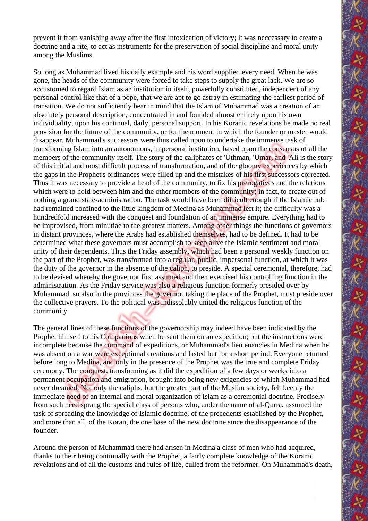prevent it from vanishing away after the first intoxication of victory; it was neccessary to create a doctrine and a rite, to act as instruments for the preservation of social discipline and moral unity among the Muslims.

So long as Muhammad lived his daily example and his word supplied every need. When he was gone, the heads of the community were forced to take steps to supply the great lack. We are so accustomed to regard Islam as an institution in itself, powerfully constituted, independent of any personal control like that of a pope, that we are apt to go astray in estimating the earliest period of transition. We do not sufficiently bear in mind that the Islam of Muhammad was a creation of an absolutely personal description, concentrated in and founded almost entirely upon his own individuality, upon his continual, daily, personal support. In his Koranic revelations he made no real provision for the future of the community, or for the moment in which the founder or master would disappear. Muhammad's successors were thus called upon to undertake the immense task of transforming Islam into an autonomous, impersonal institution, based upon the consensus of all the members of the community itself. The story of the caliphates of 'Uthman, 'Umar, and 'Ali is the story of this initial and most difficult process of transformation, and of the gloomy experiences by which the gaps in the Prophet's ordinances were filled up and the mistakes of his first successors corrected. Thus it was necessary to provide a head of the community, to fix his prerogatives and the relations which were to hold between him and the other members of the community; in fact, to create out of nothing a grand state-administration. The task would have been difficult enough if the Islamic rule had remained confined to the little kingdom of Medina as Muhammad left it; the difficulty was a hundredfold increased with the conquest and foundation of an immense empire. Everything had to be improvised, from minutiae to the greatest matters. Among other things the functions of governors in distant provinces, where the Arabs had established themselves, had to be defined. It had to be determined what these governors must accomplish to keep alive the Islamic sentiment and moral unity of their dependents. Thus the Friday assembly, which had been a personal weekly function on the part of the Prophet, was transformed into a regular, public, impersonal function, at which it was the duty of the governor in the absence of the caliph, to preside. A special ceremonial, therefore, had to be devised whereby the governor first assumed and then exercised his controlling function in the administration. As the Friday service was also a religious function formerly presided over by Muhammad, so also in the provinces the governor, taking the place of the Prophet, must preside over the collective prayers. To the political was indissolubly united the religious function of the community.

The general lines of these functions of the governorship may indeed have been indicated by the Prophet himself to his Companions when he sent them on an expedition; but the instructions were incomplete because the command of expeditions, or Muhammad's lieutenancies in Medina when he was absent on a war were exceptional creations and lasted but for a short period. Everyone returned before long to Medina, and only in the presence of the Prophet was the true and complete Friday ceremony. The conquest, transforming as it did the expedition of a few days or weeks into a permanent occupation and emigration, brought into being new exigencies of which Muhammad had never dreamed. Not only the caliphs, but the greater part of the Muslim society, felt keenly the immediate need of an internal and moral organization of Islam as a ceremonial doctrine. Precisely from such need sprang the special class of persons who, under the name of al-Qurra, assumed the task of spreading the knowledge of Islamic doctrine, of the precedents established by the Prophet, and more than all, of the Koran, the one base of the new doctrine since the disappearance of the founder.

Around the person of Muhammad there had arisen in Medina a class of men who had acquired, thanks to their being continually with the Prophet, a fairly complete knowledge of the Koranic revelations and of all the customs and rules of life, culled from the reformer. On Muhammad's death,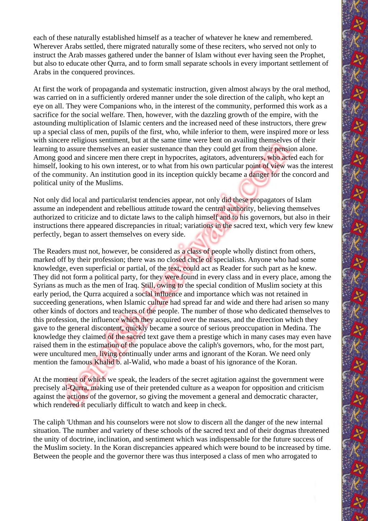each of these naturally established himself as a teacher of whatever he knew and remembered. Wherever Arabs settled, there migrated naturally some of these reciters, who served not only to instruct the Arab masses gathered under the banner of Islam without ever having seen the Prophet, but also to educate other Qurra, and to form small separate schools in every important settlement of Arabs in the conquered provinces.

At first the work of propaganda and systematic instruction, given almost always by the oral method, was carried on in a sufficiently ordered manner under the sole direction of the caliph, who kept an eye on all. They were Companions who, in the interest of the community, performed this work as a sacrifice for the social welfare. Then, however, with the dazzling growth of the empire, with the astounding multiplication of Islamic centers and the increased need of these instructors, there grew up a special class of men, pupils of the first, who, while inferior to them, were inspired more or less with sincere religious sentiment, but at the same time were bent on availing themselves of their learning to assure themselves an easier sustenance than they could get from their pension alone. Among good and sincere men there crept in hypocrites, agitators, adventurers, who acted each for himself, looking to his own interest, or to what from his own particular point of view was the interest of the community. An institution good in its inception quickly became a danger for the concord and political unity of the Muslims.

Not only did local and particularist tendencies appear, not only did these propagators of Islam assume an independent and rebellious attitude toward the central authority, believing themselves authorized to criticize and to dictate laws to the caliph himself and to his governors, but also in their instructions there appeared discrepancies in ritual; variations in the sacred text, which very few knew perfectly, began to assert themselves on every side.

The Readers must not, however, be considered as a class of people wholly distinct from others, marked off by their profession; there was no closed circle of specialists. Anyone who had some knowledge, even superficial or partial, of the text, could act as Reader for such part as he knew. They did not form a political party, for they were found in every class and in every place, among the Syrians as much as the men of Iraq. Still, owing to the special condition of Muslim society at this early period, the Qurra acquired a social influence and importance which was not retained in succeeding generations, when Islamic culture had spread far and wide and there had arisen so many other kinds of doctors and teachers of the people. The number of those who dedicated themselves to this profession, the influence which they acquired over the masses, and the direction which they gave to the general discontent, quickly became a source of serious preoccupation in Medina. The knowledge they claimed of the sacred text gave them a prestige which in many cases may even have raised them in the estimation of the populace above the caliph's governors, who, for the most part, were uncultured men, living continually under arms and ignorant of the Koran. We need only mention the famous Khalid b. al-Walid, who made a boast of his ignorance of the Koran.

At the moment of which we speak, the leaders of the secret agitation against the government were precisely al-Qurra, making use of their pretended culture as a weapon for opposition and criticism against the actions of the governor, so giving the movement a general and democratic character, which rendered it peculiarly difficult to watch and keep in check.

The caliph 'Uthman and his counselors were not slow to discern all the danger of the new internal situation. The number and variety of these schools of the sacred text and of their dogmas threatened the unity of doctrine, inclination, and sentiment which was indispensable for the future success of the Muslim society. In the Koran discrepancies appeared which were bound to be increased by time. Between the people and the governor there was thus interposed a class of men who arrogated to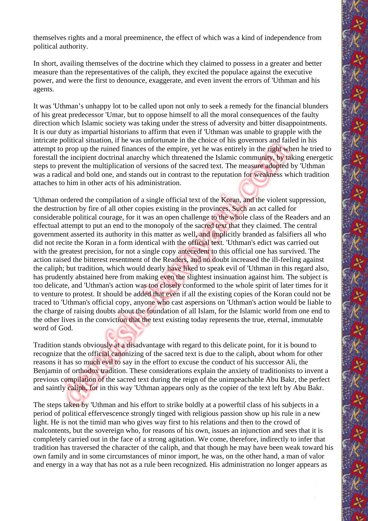themselves rights and a moral preeminence, the effect of which was a kind of independence from political authority.

In short, availing themselves of the doctrine which they claimed to possess in a greater and better measure than the representatives of the caliph, they excited the populace against the executive power, and were the first to denounce, exaggerate, and even invent the errors of 'Uthman and his agents.

It was 'Uthman's unhappy lot to be called upon not only to seek a remedy for the financial blunders of his great predecessor 'Umar, but to oppose himself to all the moral consequences of the faulty direction which Islamic society was taking under the stress of adversity and bitter disappointments. It is our duty as impartial historians to affirm that even if 'Uthman was unable to grapple with the intricate political situation, if he was unfortunate in the choice of his governors and failed in his attempt to prop up the ruined finances of the empire, yet he was entirely in the right when he tried to forestall the incipient doctrinal anarchy which threatened the Islamic community, by taking energetic steps to prevent the multiplication of versions of the sacred text. The measure adopted by 'Uthman was a radical and bold one, and stands out in contrast to the reputation for weakness which tradition attaches to him in other acts of his administration.

'Uthman ordered the compilation of a single official text of the Koran, and the violent suppression, the destruction by fire of all other copies existing in the provinces. Such an act called for considerable political courage, for it was an open challenge to the whole class of the Readers and an effectual attempt to put an end to the monopoly of the sacred text that they claimed. The central government asserted its authority in this matter as well, and implicitly branded as falsifiers all who did not recite the Koran in a form identical with the official text. 'Uthman's edict was carried out with the greatest precision, for not a single copy antecedent to this official one has survived. The action raised the bitterest resentment of the Readers, and no doubt increased the ill-feeling against the caliph; but tradition, which would dearly have liked to speak evil of 'Uthman in this regard also, has prudently abstained here from making even the slightest insinuation against him. The subject is too delicate, and 'Uthman's action was too closely conformed to the whole spirit of later times for it to venture to protest. It should be added that even if all the existing copies of the Koran could not be traced to 'Uthman's official copy, anyone who cast aspersions on 'Uthman's action would be liable to the charge of raising doubts about the foundation of all Islam, for the Islamic world from one end to the other lives in the conviction that the text existing today represents the true, eternal, immutable word of God.

Tradition stands obviously at a disadvantage with regard to this delicate point, for it is bound to recognize that the official canonizing of the sacred text is due to the caliph, about whom for other reasons it has so much evil to say in the effort to excuse the conduct of his successor Ali, the Benjamin of orthodox tradition. These considerations explain the anxiety of traditionists to invent a previous compilation of the sacred text during the reign of the unimpeachable Abu Bakr, the perfect and saintly caliph, for in this way 'Uthman appears only as the copier of the text left by Abu Bakr.

The steps taken by 'Uthman and his effort to strike boldly at a powerftil class of his subjects in a period of political effervescence strongly tinged with religious passion show up his rule in a new light. He is not the timid man who gives way first to his relations and then to the crowd of malcontents, but the sovereign who, for reasons of his own, issues an injunction and sees that it is completely carried out in the face of a strong agitation. We come, therefore, indirectly to infer that tradition has traversed the character of the caliph, and that though he may have been weak toward his own family and in some circumstances of minor import, he was, on the other hand, a man of valor and energy in a way that has not as a rule been recognized. His administration no longer appears as